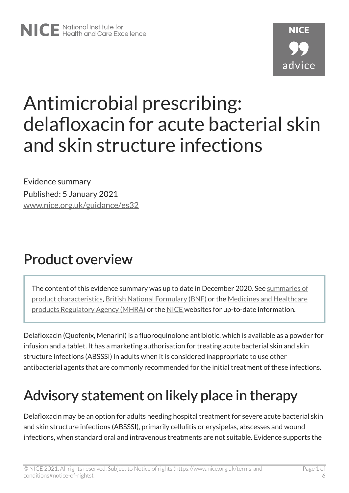# Antimicrobial prescribing: delafloxacin for acute bacterial skin and skin structure infections

Evidence summary Published: 5 January 2021 [www.nice.org.uk/guidance/es32](https://www.nice.org.uk/guidance/es32) 

### Product overview

The content of this evidence summary was up to date in December 2020. See [summaries of](https://www.medicines.org.uk/emc)  [product characteristics](https://www.medicines.org.uk/emc), [British National Formulary \(BNF\)](https://bnf.nice.org.uk/) or the [Medicines and Healthcare](https://www.gov.uk/government/organisations/medicines-and-healthcare-products-regulatory-agency)  [products Regulatory Agency \(MHRA\)](https://www.gov.uk/government/organisations/medicines-and-healthcare-products-regulatory-agency) or the [NICE](https://www.nice.org.uk/) websites for up-to-date information.

Delafloxacin (Quofenix, Menarini) is a fluoroquinolone antibiotic, which is available as a powder for infusion and a tablet. It has a marketing authorisation for treating acute bacterial skin and skin structure infections (ABSSSI) in adults when it is considered inappropriate to use other antibacterial agents that are commonly recommended for the initial treatment of these infections.

## Advisory statement on likely place in therapy

Delafloxacin may be an option for adults needing hospital treatment for severe acute bacterial skin and skin structure infections (ABSSSI), primarily cellulitis or erysipelas, abscesses and wound infections, when standard oral and intravenous treatments are not suitable. Evidence supports the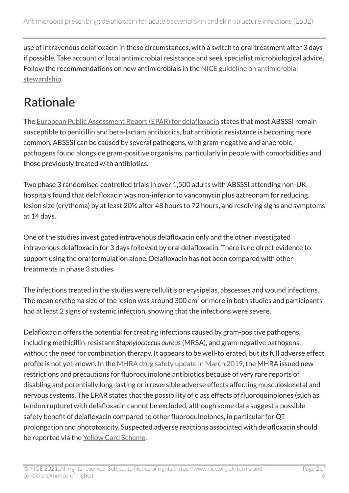use of intravenous delafloxacin in these circumstances, with a switch to oral treatment after 3 days if possible. Take account of local antimicrobial resistance and seek specialist microbiological advice. Follow the recommendations on new antimicrobials in the [NICE guideline on antimicrobial](https://www.nice.org.uk/guidance/ng15)  [stewardship](https://www.nice.org.uk/guidance/ng15).

#### Rationale

The [European Public Assessment Report \(EPAR\) for delafloxacin](https://www.ema.europa.eu/en/medicines/human/EPAR/quofenix) states that most ABSSSI remain susceptible to penicillin and beta-lactam antibiotics, but antibiotic resistance is becoming more common. ABSSSI can be caused by several pathogens, with gram-negative and anaerobic pathogens found alongside gram-positive organisms, particularly in people with comorbidities and those previously treated with antibiotics.

Two phase 3 randomised controlled trials in over 1,500 adults with ABSSSI attending non-UK hospitals found that delafloxacin was non-inferior to vancomycin plus aztreonam for reducing lesion size (erythema) by at least 20% after 48 hours to 72 hours, and resolving signs and symptoms at 14 days.

One of the studies investigated intravenous delafloxacin only and the other investigated intravenous delafloxacin for 3 days followed by oral delafloxacin. There is no direct evidence to support using the oral formulation alone. Delafloxacin has not been compared with other treatments in phase 3 studies.

The infections treated in the studies were cellulitis or erysipelas, abscesses and wound infections. The mean erythema size of the lesion was around 300 cm $^2$  or more in both studies and participants had at least 2 signs of systemic infection, showing that the infections were severe.

Delafloxacin offers the potential for treating infections caused by gram-positive pathogens, including methicillin-resistant *Staphylococcus aureus*(MRSA), and gram-negative pathogens, without the need for combination therapy. It appears to be well-tolerated, but its full adverse effect profile is not yet known. In the [MHRA drug safety update in March 2019](https://www.gov.uk/drug-safety-update/fluoroquinolone-antibiotics-new-restrictions-and-precautions-for-use-due-to-very-rare-reports-of-disabling-and-potentially-long-lasting-or-irreversible-side-effects), the MHRA issued new restrictions and precautions for fluoroquinolone antibiotics because of very rare reports of disabling and potentially long-lasting or irreversible adverse effects affecting musculoskeletal and nervous systems. The EPAR states that the possibility of class effects of fluoroquinolones (such as tendon rupture) with delafloxacin cannot be excluded, although some data suggest a possible safety benefit of delafloxacin compared to other fluoroquinolones, in particular for QT prolongation and phototoxicity. Suspected adverse reactions associated with delafloxacin should be reported via the [Yellow Card Scheme](https://yellowcard.mhra.gov.uk/).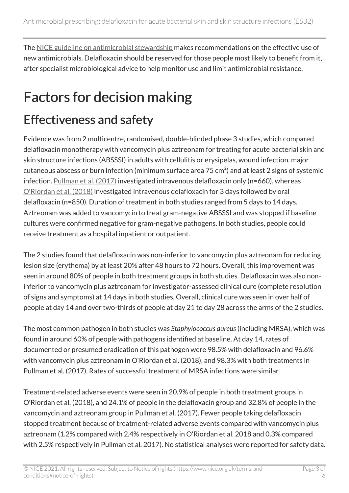The [NICE guideline on antimicrobial stewardship](https://www.nice.org.uk/guidance/ng15) makes recommendations on the effective use of new antimicrobials. Delafloxacin should be reserved for those people most likely to benefit from it, after specialist microbiological advice to help monitor use and limit antimicrobial resistance.

## Factors for decision making

#### Effectiveness and safety

Evidence was from 2 multicentre, randomised, double-blinded phase 3 studies, which compared delafloxacin monotherapy with vancomycin plus aztreonam for treating for acute bacterial skin and skin structure infections (ABSSSI) in adults with cellulitis or erysipelas, wound infection, major cutaneous abscess or burn infection (minimum surface area 75 cm $^2$ ) and at least 2 signs of systemic infection. [Pullman et al. \(2017\)](https://academic.oup.com/jac/article/72/12/3471/4348482) investigated intravenous delafloxacin only (n=660), whereas [O'Riordan et al. \(2018\)](https://academic.oup.com/cid/article/67/5/657/4922283) investigated intravenous delafloxacin for 3 days followed by oral delafloxacin (n=850). Duration of treatment in both studies ranged from 5 days to 14 days. Aztreonam was added to vancomycin to treat gram-negative ABSSSI and was stopped if baseline cultures were confirmed negative for gram-negative pathogens. In both studies, people could receive treatment as a hospital inpatient or outpatient.

The 2 studies found that delafloxacin was non-inferior to vancomycin plus aztreonam for reducing lesion size (erythema) by at least 20% after 48 hours to 72 hours. Overall, this improvement was seen in around 80% of people in both treatment groups in both studies. Delafloxacin was also noninferior to vancomycin plus aztreonam for investigator-assessed clinical cure (complete resolution of signs and symptoms) at 14 days in both studies. Overall, clinical cure was seen in over half of people at day 14 and over two-thirds of people at day 21 to day 28 across the arms of the 2 studies.

The most common pathogen in both studies was *Staphylococcus aureus*(including MRSA), which was found in around 60% of people with pathogens identified at baseline. At day 14, rates of documented or presumed eradication of this pathogen were 98.5% with delafloxacin and 96.6% with vancomycin plus aztreonam in O'Riordan et al. (2018), and 98.3% with both treatments in Pullman et al. (2017). Rates of successful treatment of MRSA infections were similar.

Treatment-related adverse events were seen in 20.9% of people in both treatment groups in O'Riordan et al. (2018), and 24.1% of people in the delafloxacin group and 32.8% of people in the vancomycin and aztreonam group in Pullman et al. (2017). Fewer people taking delafloxacin stopped treatment because of treatment-related adverse events compared with vancomycin plus aztreonam (1.2% compared with 2.4% respectively in O'Riordan et al. 2018 and 0.3% compared with 2.5% respectively in Pullman et al. 2017). No statistical analyses were reported for safety data.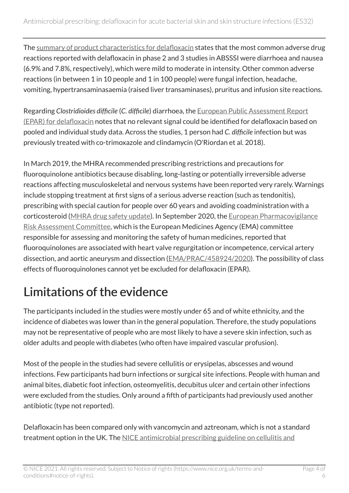The [summary of product characteristics for delafloxacin](https://www.medicines.org.uk/emc/product/11481/smpc) states that the most common adverse drug reactions reported with delafloxacin in phase 2 and 3 studies in ABSSSI were diarrhoea and nausea (6.9% and 7.8%, respectively), which were mild to moderate in intensity. Other common adverse reactions (in between 1 in 10 people and 1 in 100 people) were fungal infection, headache, vomiting, hypertransaminasaemia (raised liver transaminases), pruritus and infusion site reactions.

Regarding *Clostridioides difficile* (*C. difficile*) diarrhoea, the [European Public Assessment Report](https://www.ema.europa.eu/en/medicines/human/EPAR/quofenix)  [\(EPAR\) for delafloxacin](https://www.ema.europa.eu/en/medicines/human/EPAR/quofenix) notes that no relevant signal could be identified for delafloxacin based on pooled and individual study data. Across the studies, 1 person had *C. difficile* infection but was previously treated with co-trimoxazole and clindamycin (O'Riordan et al. 2018).

In March 2019, the MHRA recommended prescribing restrictions and precautions for fluoroquinolone antibiotics because disabling, long-lasting or potentially irreversible adverse reactions affecting musculoskeletal and nervous systems have been reported very rarely. Warnings include stopping treatment at first signs of a serious adverse reaction (such as tendonitis), prescribing with special caution for people over 60 years and avoiding coadministration with a corticosteroid [\(MHRA drug safety update\)](https://www.gov.uk/drug-safety-update/fluoroquinolone-antibiotics-new-restrictions-and-precautions-for-use-due-to-very-rare-reports-of-disabling-and-potentially-long-lasting-or-irreversible-side-effects). In September 2020, the [European Pharmacovigilance](https://www.ema.europa.eu/en/committees/pharmacovigilance-risk-assessment-committee-prac) [Risk Assessment Committee,](https://www.ema.europa.eu/en/committees/pharmacovigilance-risk-assessment-committee-prac) which is the European Medicines Agency (EMA) committee responsible for assessing and monitoring the safety of human medicines, reported that fluoroquinolones are associated with heart valve regurgitation or incompetence, cervical artery dissection, and aortic aneurysm and dissection [\(EMA/PRAC/458924/2020\)](https://www.ema.europa.eu/en/documents/prac-recommendation/prac-recommendations-signals-adopted-31-august-3-september-2020-prac-meeting_en.pdf). The possibility of class effects of fluoroquinolones cannot yet be excluded for delafloxacin (EPAR).

#### Limitations of the evidence

The participants included in the studies were mostly under 65 and of white ethnicity, and the incidence of diabetes was lower than in the general population. Therefore, the study populations may not be representative of people who are most likely to have a severe skin infection, such as older adults and people with diabetes (who often have impaired vascular profusion).

Most of the people in the studies had severe cellulitis or erysipelas, abscesses and wound infections. Few participants had burn infections or surgical site infections. People with human and animal bites, diabetic foot infection, osteomyelitis, decubitus ulcer and certain other infections were excluded from the studies. Only around a fifth of participants had previously used another antibiotic (type not reported).

Delafloxacin has been compared only with vancomycin and aztreonam, which is not a standard treatment option in the UK. The NICE antimicrobial prescribing guideline on cellulitis and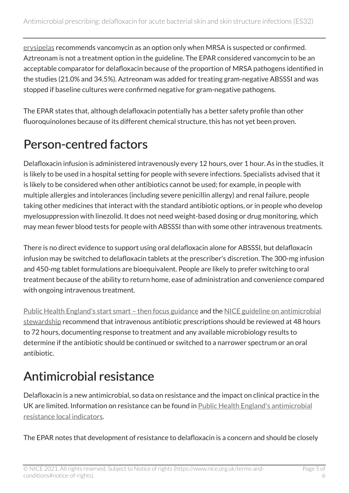[erysipelas](https://www.nice.org.uk/guidance/ng141) recommends vancomycin as an option only when MRSA is suspected or confirmed. Aztreonam is not a treatment option in the guideline. The EPAR considered vancomycin to be an acceptable comparator for delafloxacin because of the proportion of MRSA pathogens identified in the studies (21.0% and 34.5%). Aztreonam was added for treating gram-negative ABSSSI and was stopped if baseline cultures were confirmed negative for gram-negative pathogens.

The EPAR states that, although delafloxacin potentially has a better safety profile than other fluoroquinolones because of its different chemical structure, this has not yet been proven.

#### Person-centred factors

Delafloxacin infusion is administered intravenously every 12 hours, over 1 hour. As in the studies, it is likely to be used in a hospital setting for people with severe infections. Specialists advised that it is likely to be considered when other antibiotics cannot be used; for example, in people with multiple allergies and intolerances (including severe penicillin allergy) and renal failure, people taking other medicines that interact with the standard antibiotic options, or in people who develop myelosuppression with linezolid. It does not need weight-based dosing or drug monitoring, which may mean fewer blood tests for people with ABSSSI than with some other intravenous treatments.

There is no direct evidence to support using oral delafloxacin alone for ABSSSI, but delafloxacin infusion may be switched to delafloxacin tablets at the prescriber's discretion. The 300-mg infusion and 450-mg tablet formulations are bioequivalent. People are likely to prefer switching to oral treatment because of the ability to return home, ease of administration and convenience compared with ongoing intravenous treatment.

[Public Health England's start smart – then focus guidance](https://www.gov.uk/government/publications/antimicrobial-stewardship-start-smart-then-focus) and the [NICE guideline on antimicrobial](https://www.nice.org.uk/guidance/ng15/chapter/1-Recommendations) [stewardship](https://www.nice.org.uk/guidance/ng15/chapter/1-Recommendations) recommend that intravenous antibiotic prescriptions should be reviewed at 48 hours to 72 hours, documenting response to treatment and any available microbiology results to determine if the antibiotic should be continued or switched to a narrower spectrum or an oral antibiotic.

#### Antimicrobial resistance

Delafloxacin is a new antimicrobial, so data on resistance and the impact on clinical practice in the UK are limited. Information on resistance can be found in [Public Health England's antimicrobial](https://fingertips.phe.org.uk/profile/amr-local-indicators)  [resistance local indicators](https://fingertips.phe.org.uk/profile/amr-local-indicators).

The EPAR notes that development of resistance to delafloxacin is a concern and should be closely